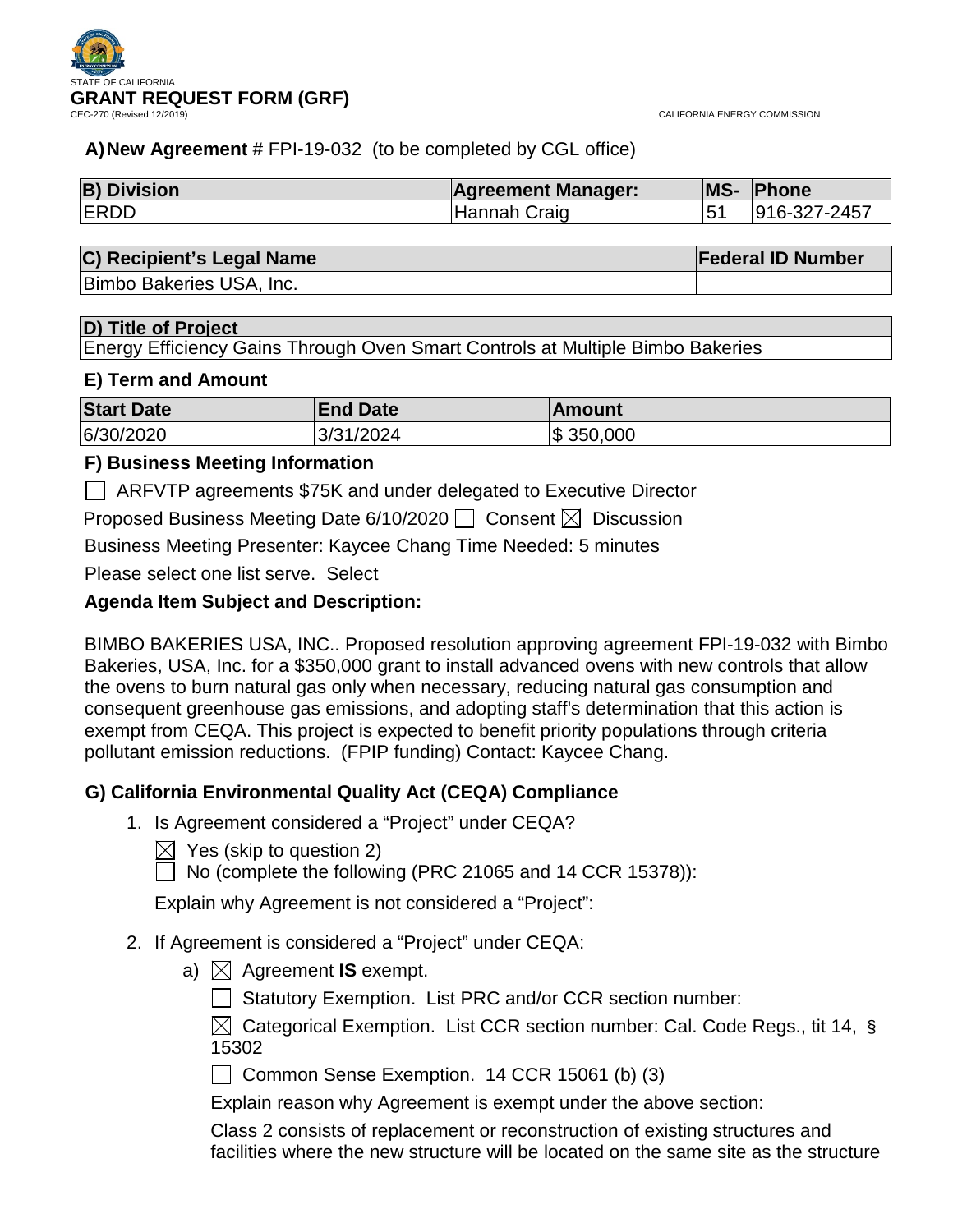

CALIFORNIA ENERGY COMMISSION

# **A)New Agreement** # FPI-19-032 (to be completed by CGL office)

| <b>B) Division</b> | <b>Agreement Manager:</b> | <b>MS- Phone</b> |
|--------------------|---------------------------|------------------|
| <b>IERDD</b>       | Hannah Craig              | 916-327-2457     |

# **C) Recipient's Legal Name Federal ID Number**

Bimbo Bakeries USA, Inc.

### **D) Title of Project**

Energy Efficiency Gains Through Oven Smart Controls at Multiple Bimbo Bakeries

### **E) Term and Amount**

| <b>Start Date</b> | <b>End Date</b> | ⊺Amount   |
|-------------------|-----------------|-----------|
| 6/30/2020         | 3/31/2024       | \$350,000 |

# **F) Business Meeting Information**

ARFVTP agreements \$75K and under delegated to Executive Director

Proposed Business Meeting Date 6/10/2020  $\Box$  Consent  $\boxtimes$  Discussion

Business Meeting Presenter: Kaycee Chang Time Needed: 5 minutes

Please select one list serve. Select

# **Agenda Item Subject and Description:**

BIMBO BAKERIES USA, INC.. Proposed resolution approving agreement FPI-19-032 with Bimbo Bakeries, USA, Inc. for a \$350,000 grant to install advanced ovens with new controls that allow the ovens to burn natural gas only when necessary, reducing natural gas consumption and consequent greenhouse gas emissions, and adopting staff's determination that this action is exempt from CEQA. This project is expected to benefit priority populations through criteria pollutant emission reductions. (FPIP funding) Contact: Kaycee Chang.

# **G) California Environmental Quality Act (CEQA) Compliance**

- 1. Is Agreement considered a "Project" under CEQA?
	- $\bowtie$  Yes (skip to question 2)
	- $\Box$  No (complete the following (PRC 21065 and 14 CCR 15378)):

Explain why Agreement is not considered a "Project":

- 2. If Agreement is considered a "Project" under CEQA:
	- a)  $\boxtimes$  Agreement **IS** exempt.
		- Statutory Exemption. List PRC and/or CCR section number:

 $\boxtimes$  Categorical Exemption. List CCR section number: Cal. Code Regs., tit 14, § 15302

Common Sense Exemption. 14 CCR 15061 (b) (3)

Explain reason why Agreement is exempt under the above section:

Class 2 consists of replacement or reconstruction of existing structures and facilities where the new structure will be located on the same site as the structure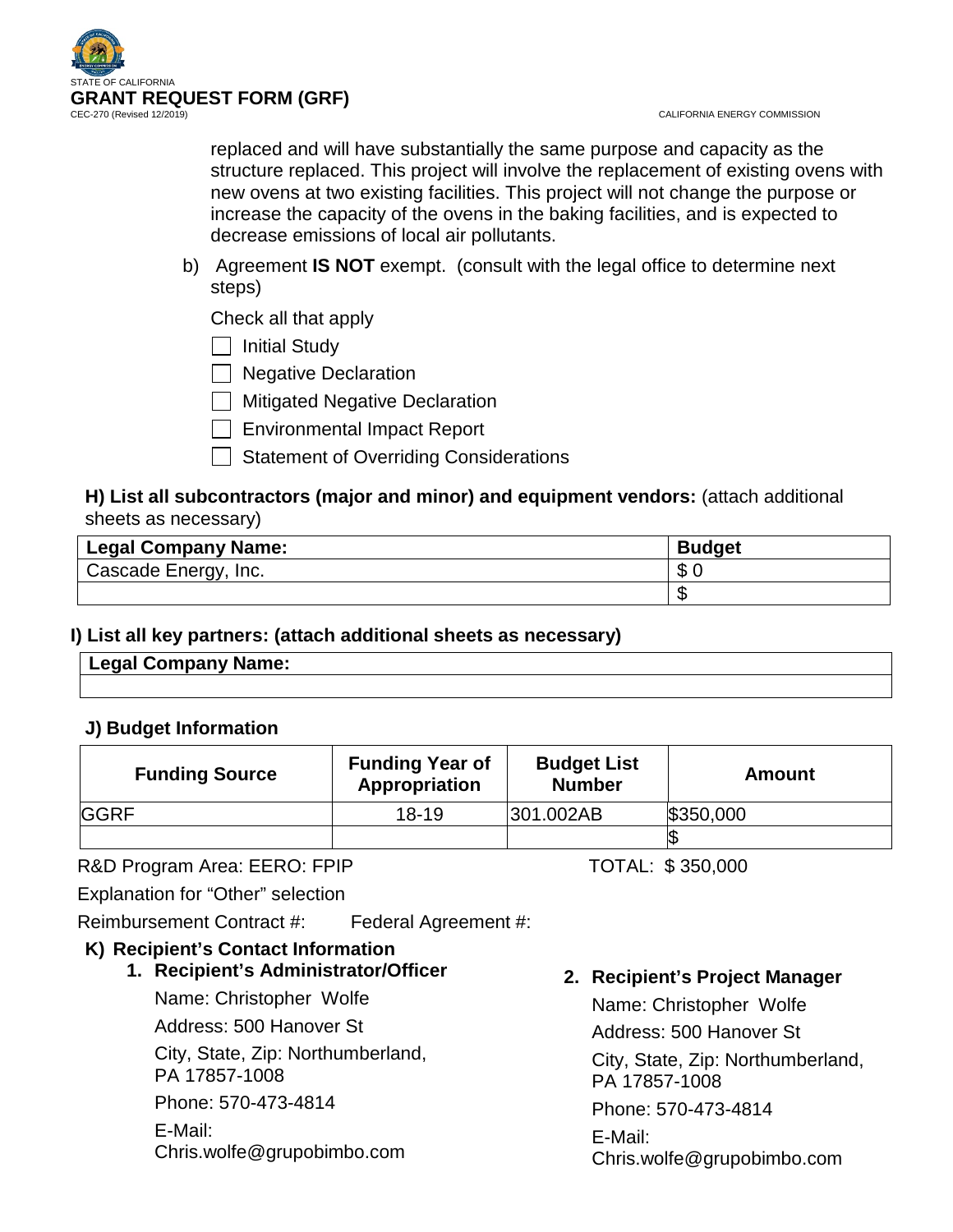

CALIFORNIA ENERGY COMMISSION

replaced and will have substantially the same purpose and capacity as the structure replaced. This project will involve the replacement of existing ovens with new ovens at two existing facilities. This project will not change the purpose or increase the capacity of the ovens in the baking facilities, and is expected to decrease emissions of local air pollutants.

b) Agreement **IS NOT** exempt. (consult with the legal office to determine next steps)

Check all that apply

 $\Box$  Initial Study

| | Negative Declaration

Mitigated Negative Declaration

Environmental Impact Report

Statement of Overriding Considerations

# **H) List all subcontractors (major and minor) and equipment vendors:** (attach additional sheets as necessary)

| Legal Company Name:  | <b>Budget</b> |
|----------------------|---------------|
| Cascade Energy, Inc. | œ<br>D        |
|                      |               |

# **I) List all key partners: (attach additional sheets as necessary)**

| ame:<br>במם ו<br>∴nr<br>. .<br>$\overline{\phantom{0}}$ |  |
|---------------------------------------------------------|--|
|                                                         |  |

# **J) Budget Information**

| <b>Funding Source</b> | <b>Funding Year of</b><br>Appropriation | <b>Budget List</b><br><b>Number</b> | Amount    |
|-----------------------|-----------------------------------------|-------------------------------------|-----------|
| <b>GGRF</b>           | $18 - 19$                               | 301.002AB                           | \$350,000 |
|                       |                                         |                                     |           |

R&D Program Area: EERO: FPIP TOTAL: \$350,000

Explanation for "Other" selection

Reimbursement Contract #: Federal Agreement #:

# **K) Recipient's Contact Information**

# **1. Recipient's Administrator/Officer**

Name: Christopher Wolfe

Address: 500 Hanover St

City, State, Zip: Northumberland, PA 17857-1008

Phone: 570-473-4814

E-Mail: Chris.wolfe@grupobimbo.com **2. Recipient's Project Manager**

Name: Christopher Wolfe Address: 500 Hanover St City, State, Zip: Northumberland, PA 17857-1008 Phone: 570-473-4814 E-Mail: Chris.wolfe@grupobimbo.com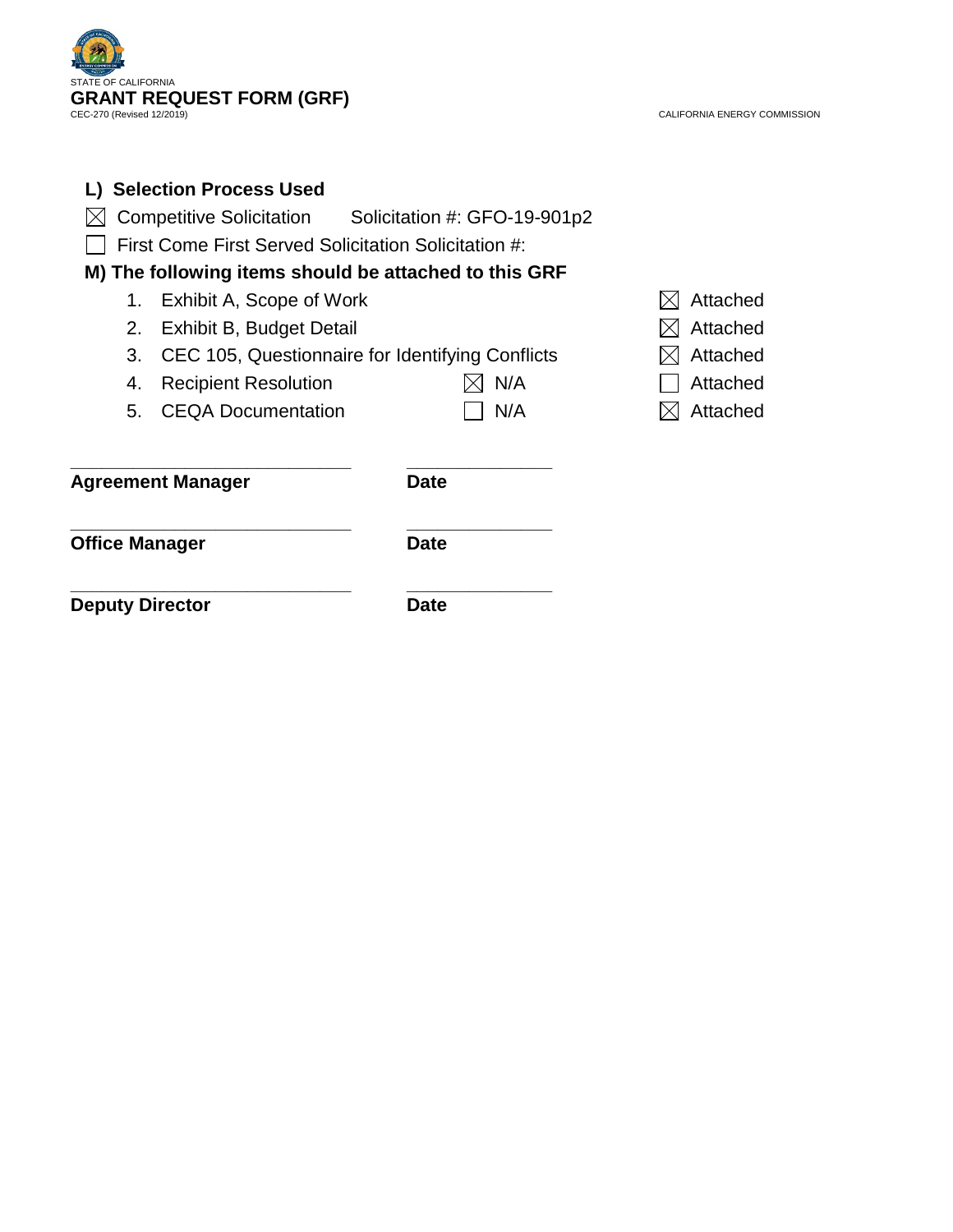

|                        | L) Selection Process Used                             |             |          |
|------------------------|-------------------------------------------------------|-------------|----------|
|                        | Competitive Solicitation Solicitation #: GFO-19-901p2 |             |          |
|                        | First Come First Served Solicitation Solicitation #:  |             |          |
|                        | M) The following items should be attached to this GRF |             |          |
| 1.                     | Exhibit A, Scope of Work                              |             | Attached |
| 2.                     | Exhibit B, Budget Detail                              |             | Attached |
| 3.                     | CEC 105, Questionnaire for Identifying Conflicts      |             | Attached |
| 4.                     | <b>Recipient Resolution</b>                           | N/A         | Attached |
| 5.                     | <b>CEQA Documentation</b>                             | N/A         | Attached |
|                        | <b>Agreement Manager</b>                              | <b>Date</b> |          |
| Office Manager         |                                                       | <b>Date</b> |          |
| <b>Deputy Director</b> |                                                       | <b>Date</b> |          |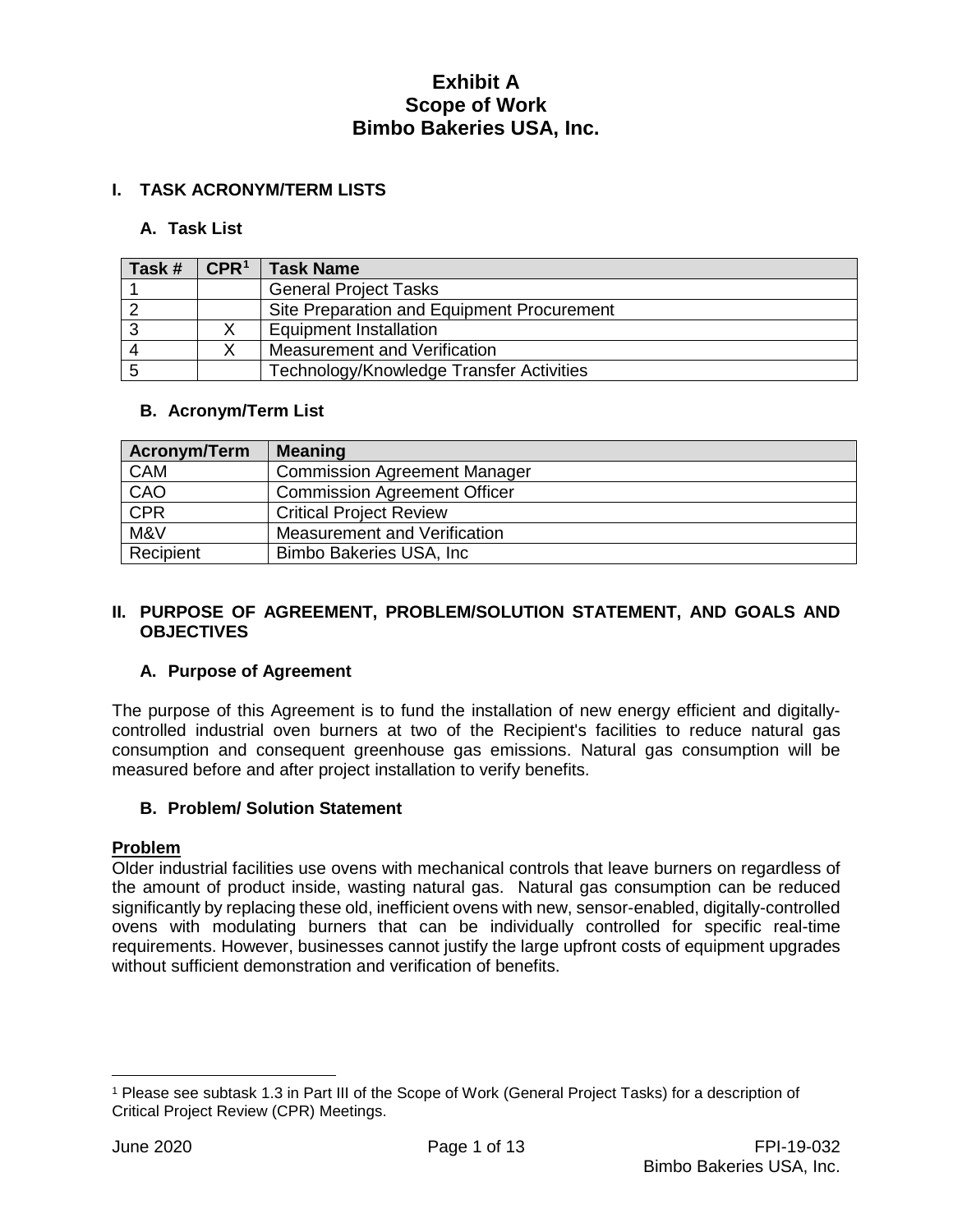### **I. TASK ACRONYM/TERM LISTS**

#### **A. Task List**

| Task # | $\mathsf{CPR}^1$ | <b>Task Name</b>                           |
|--------|------------------|--------------------------------------------|
|        |                  | <b>General Project Tasks</b>               |
|        |                  | Site Preparation and Equipment Procurement |
|        |                  | <b>Equipment Installation</b>              |
|        |                  | Measurement and Verification               |
|        |                  | Technology/Knowledge Transfer Activities   |

#### **B. Acronym/Term List**

| <b>Acronym/Term</b> | <b>Meaning</b>                      |
|---------------------|-------------------------------------|
| <b>CAM</b>          | <b>Commission Agreement Manager</b> |
| CAO                 | <b>Commission Agreement Officer</b> |
| CPR                 | <b>Critical Project Review</b>      |
| M&V                 | Measurement and Verification        |
| Recipient           | Bimbo Bakeries USA, Inc.            |

#### **II. PURPOSE OF AGREEMENT, PROBLEM/SOLUTION STATEMENT, AND GOALS AND OBJECTIVES**

### **A. Purpose of Agreement**

The purpose of this Agreement is to fund the installation of new energy efficient and digitallycontrolled industrial oven burners at two of the Recipient's facilities to reduce natural gas consumption and consequent greenhouse gas emissions. Natural gas consumption will be measured before and after project installation to verify benefits.

#### **B. Problem/ Solution Statement**

#### **Problem**

Older industrial facilities use ovens with mechanical controls that leave burners on regardless of the amount of product inside, wasting natural gas. Natural gas consumption can be reduced significantly by replacing these old, inefficient ovens with new, sensor-enabled, digitally-controlled ovens with modulating burners that can be individually controlled for specific real-time requirements. However, businesses cannot justify the large upfront costs of equipment upgrades without sufficient demonstration and verification of benefits.

 $\overline{a}$ 

<span id="page-3-0"></span><sup>1</sup> Please see subtask 1.3 in Part III of the Scope of Work (General Project Tasks) for a description of Critical Project Review (CPR) Meetings.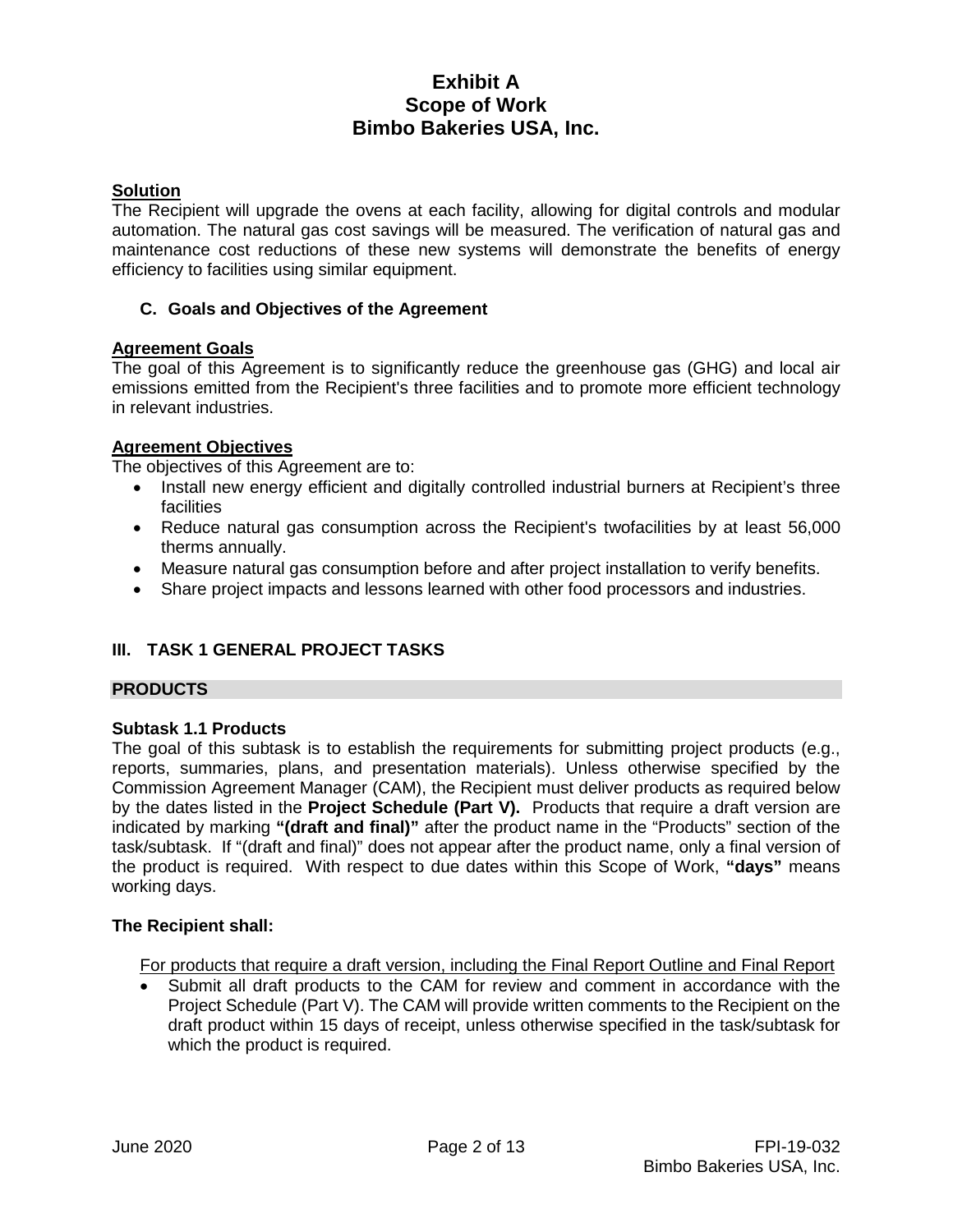#### **Solution**

The Recipient will upgrade the ovens at each facility, allowing for digital controls and modular automation. The natural gas cost savings will be measured. The verification of natural gas and maintenance cost reductions of these new systems will demonstrate the benefits of energy efficiency to facilities using similar equipment.

#### **C. Goals and Objectives of the Agreement**

#### **Agreement Goals**

The goal of this Agreement is to significantly reduce the greenhouse gas (GHG) and local air emissions emitted from the Recipient's three facilities and to promote more efficient technology in relevant industries.

#### **Agreement Objectives**

The objectives of this Agreement are to:

- Install new energy efficient and digitally controlled industrial burners at Recipient's three facilities
- Reduce natural gas consumption across the Recipient's twofacilities by at least 56,000 therms annually.
- Measure natural gas consumption before and after project installation to verify benefits.
- Share project impacts and lessons learned with other food processors and industries.

### **III. TASK 1 GENERAL PROJECT TASKS**

### **PRODUCTS**

#### **Subtask 1.1 Products**

The goal of this subtask is to establish the requirements for submitting project products (e.g., reports, summaries, plans, and presentation materials). Unless otherwise specified by the Commission Agreement Manager (CAM), the Recipient must deliver products as required below by the dates listed in the **Project Schedule (Part V).** Products that require a draft version are indicated by marking **"(draft and final)"** after the product name in the "Products" section of the task/subtask. If "(draft and final)" does not appear after the product name, only a final version of the product is required. With respect to due dates within this Scope of Work, **"days"** means working days.

#### **The Recipient shall:**

For products that require a draft version, including the Final Report Outline and Final Report

• Submit all draft products to the CAM for review and comment in accordance with the Project Schedule (Part V). The CAM will provide written comments to the Recipient on the draft product within 15 days of receipt, unless otherwise specified in the task/subtask for which the product is required.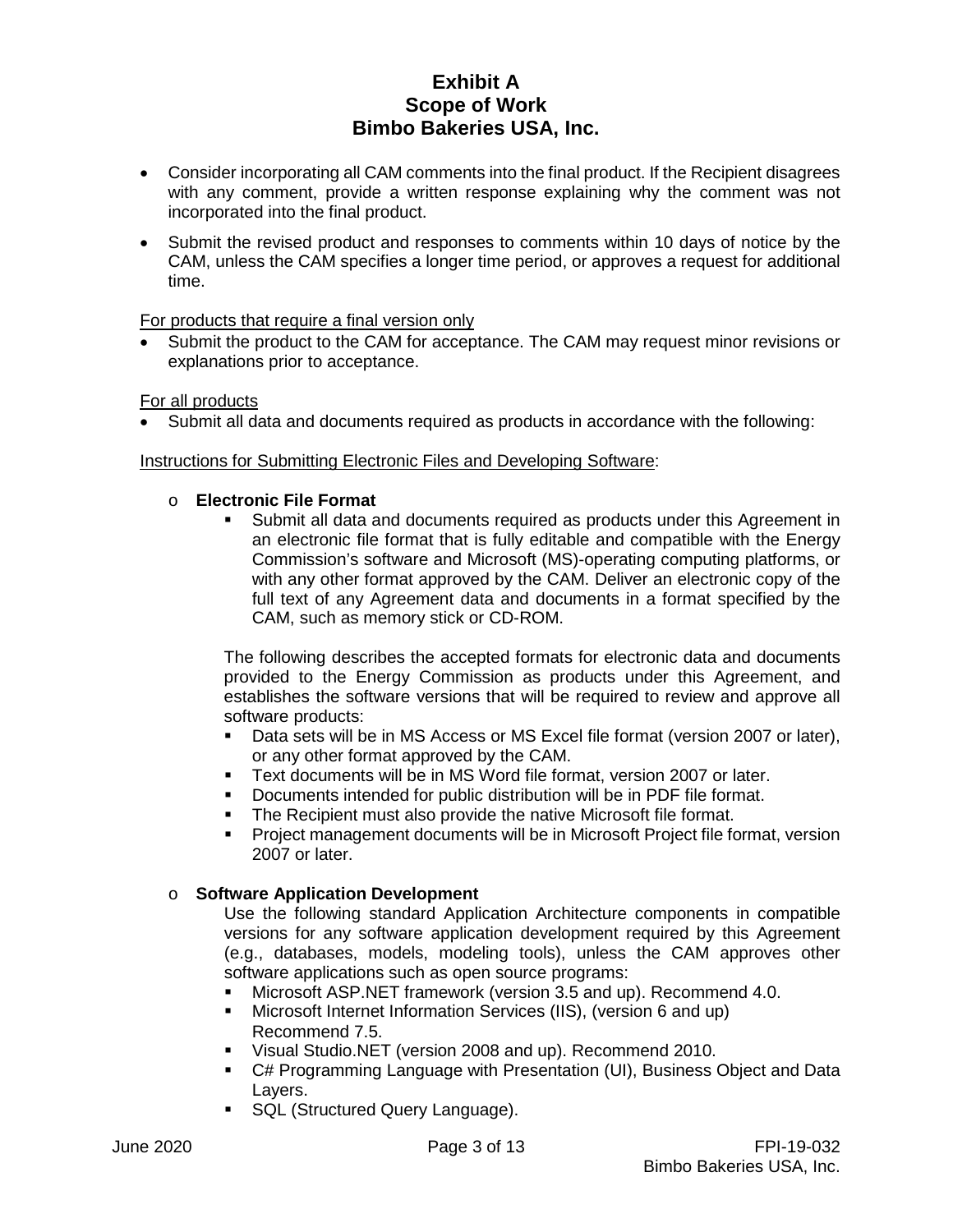- Consider incorporating all CAM comments into the final product. If the Recipient disagrees with any comment, provide a written response explaining why the comment was not incorporated into the final product.
- Submit the revised product and responses to comments within 10 days of notice by the CAM, unless the CAM specifies a longer time period, or approves a request for additional time.

For products that require a final version only

Submit the product to the CAM for acceptance. The CAM may request minor revisions or explanations prior to acceptance.

### For all products

• Submit all data and documents required as products in accordance with the following:

#### Instructions for Submitting Electronic Files and Developing Software:

#### o **Electronic File Format**

 Submit all data and documents required as products under this Agreement in an electronic file format that is fully editable and compatible with the Energy Commission's software and Microsoft (MS)-operating computing platforms, or with any other format approved by the CAM. Deliver an electronic copy of the full text of any Agreement data and documents in a format specified by the CAM, such as memory stick or CD-ROM.

The following describes the accepted formats for electronic data and documents provided to the Energy Commission as products under this Agreement, and establishes the software versions that will be required to review and approve all software products:

- Data sets will be in MS Access or MS Excel file format (version 2007 or later), or any other format approved by the CAM.
- Text documents will be in MS Word file format, version 2007 or later.
- Documents intended for public distribution will be in PDF file format.
- **The Recipient must also provide the native Microsoft file format.**
- Project management documents will be in Microsoft Project file format, version 2007 or later.

#### o **Software Application Development**

Use the following standard Application Architecture components in compatible versions for any software application development required by this Agreement (e.g., databases, models, modeling tools), unless the CAM approves other software applications such as open source programs:

- Microsoft ASP.NET framework (version 3.5 and up). Recommend 4.0.
- Microsoft Internet Information Services (IIS), (version 6 and up) Recommend 7.5.
- Visual Studio.NET (version 2008 and up). Recommend 2010.
- C# Programming Language with Presentation (UI), Business Object and Data Layers.
- **SQL (Structured Query Language).**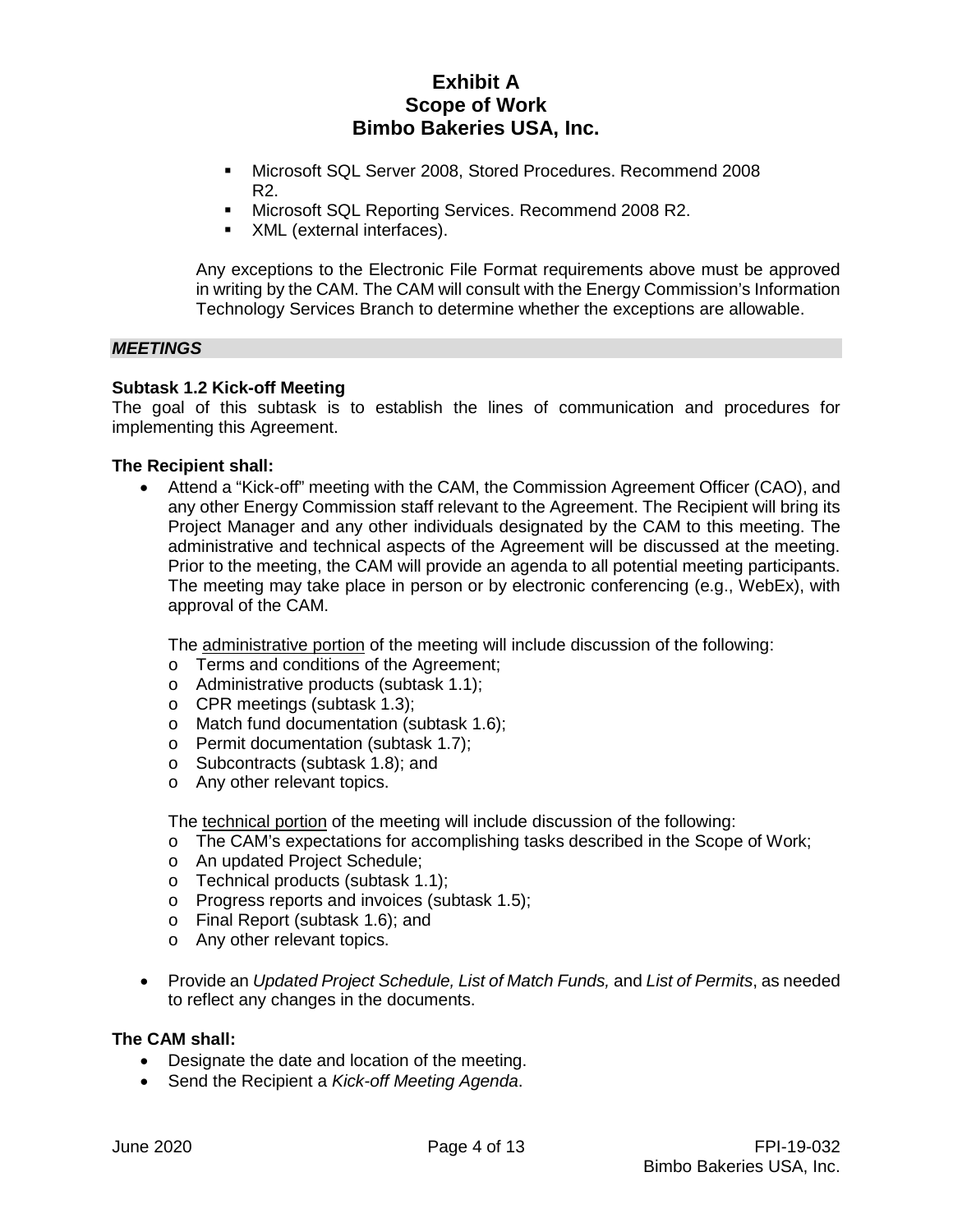- Microsoft SQL Server 2008, Stored Procedures. Recommend 2008 R2.
- **Microsoft SQL Reporting Services. Recommend 2008 R2.**
- XML (external interfaces).

Any exceptions to the Electronic File Format requirements above must be approved in writing by the CAM. The CAM will consult with the Energy Commission's Information Technology Services Branch to determine whether the exceptions are allowable.

#### *MEETINGS*

#### **Subtask 1.2 Kick-off Meeting**

The goal of this subtask is to establish the lines of communication and procedures for implementing this Agreement.

#### **The Recipient shall:**

• Attend a "Kick-off" meeting with the CAM, the Commission Agreement Officer (CAO), and any other Energy Commission staff relevant to the Agreement. The Recipient will bring its Project Manager and any other individuals designated by the CAM to this meeting. The administrative and technical aspects of the Agreement will be discussed at the meeting. Prior to the meeting, the CAM will provide an agenda to all potential meeting participants. The meeting may take place in person or by electronic conferencing (e.g., WebEx), with approval of the CAM.

The administrative portion of the meeting will include discussion of the following:

- o Terms and conditions of the Agreement;
- o Administrative products (subtask 1.1);
- o CPR meetings (subtask 1.3);
- o Match fund documentation (subtask 1.6);
- o Permit documentation (subtask 1.7);
- o Subcontracts (subtask 1.8); and
- o Any other relevant topics.

The technical portion of the meeting will include discussion of the following:

- o The CAM's expectations for accomplishing tasks described in the Scope of Work;
- o An updated Project Schedule;
- o Technical products (subtask 1.1);
- o Progress reports and invoices (subtask 1.5);
- o Final Report (subtask 1.6); and
- o Any other relevant topics.
- Provide an *Updated Project Schedule, List of Match Funds,* and *List of Permits*, as needed to reflect any changes in the documents.

#### **The CAM shall:**

- Designate the date and location of the meeting.
- Send the Recipient a *Kick-off Meeting Agenda*.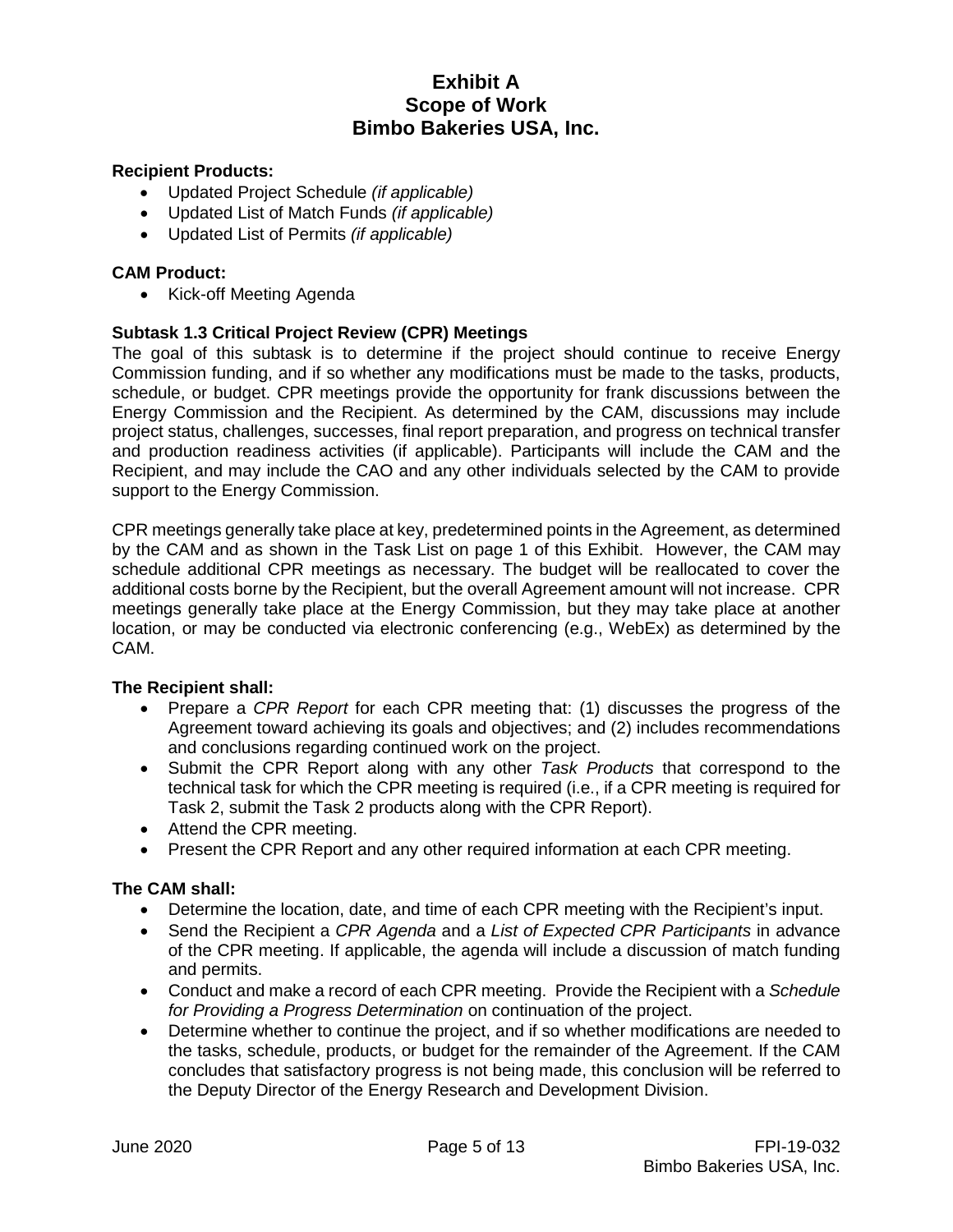### **Recipient Products:**

- Updated Project Schedule *(if applicable)*
- Updated List of Match Funds *(if applicable)*
- Updated List of Permits *(if applicable)*

### **CAM Product:**

• Kick-off Meeting Agenda

### **Subtask 1.3 Critical Project Review (CPR) Meetings**

The goal of this subtask is to determine if the project should continue to receive Energy Commission funding, and if so whether any modifications must be made to the tasks, products, schedule, or budget. CPR meetings provide the opportunity for frank discussions between the Energy Commission and the Recipient. As determined by the CAM, discussions may include project status, challenges, successes, final report preparation, and progress on technical transfer and production readiness activities (if applicable). Participants will include the CAM and the Recipient, and may include the CAO and any other individuals selected by the CAM to provide support to the Energy Commission.

CPR meetings generally take place at key, predetermined points in the Agreement, as determined by the CAM and as shown in the Task List on page 1 of this Exhibit. However, the CAM may schedule additional CPR meetings as necessary. The budget will be reallocated to cover the additional costs borne by the Recipient, but the overall Agreement amount will not increase. CPR meetings generally take place at the Energy Commission, but they may take place at another location, or may be conducted via electronic conferencing (e.g., WebEx) as determined by the CAM.

### **The Recipient shall:**

- Prepare a *CPR Report* for each CPR meeting that: (1) discusses the progress of the Agreement toward achieving its goals and objectives; and (2) includes recommendations and conclusions regarding continued work on the project.
- Submit the CPR Report along with any other *Task Products* that correspond to the technical task for which the CPR meeting is required (i.e., if a CPR meeting is required for Task 2, submit the Task 2 products along with the CPR Report).
- Attend the CPR meeting.
- Present the CPR Report and any other required information at each CPR meeting.

### **The CAM shall:**

- Determine the location, date, and time of each CPR meeting with the Recipient's input.
- Send the Recipient a *CPR Agenda* and a *List of Expected CPR Participants* in advance of the CPR meeting. If applicable, the agenda will include a discussion of match funding and permits.
- Conduct and make a record of each CPR meeting. Provide the Recipient with a *Schedule for Providing a Progress Determination* on continuation of the project.
- Determine whether to continue the project, and if so whether modifications are needed to the tasks, schedule, products, or budget for the remainder of the Agreement. If the CAM concludes that satisfactory progress is not being made, this conclusion will be referred to the Deputy Director of the Energy Research and Development Division.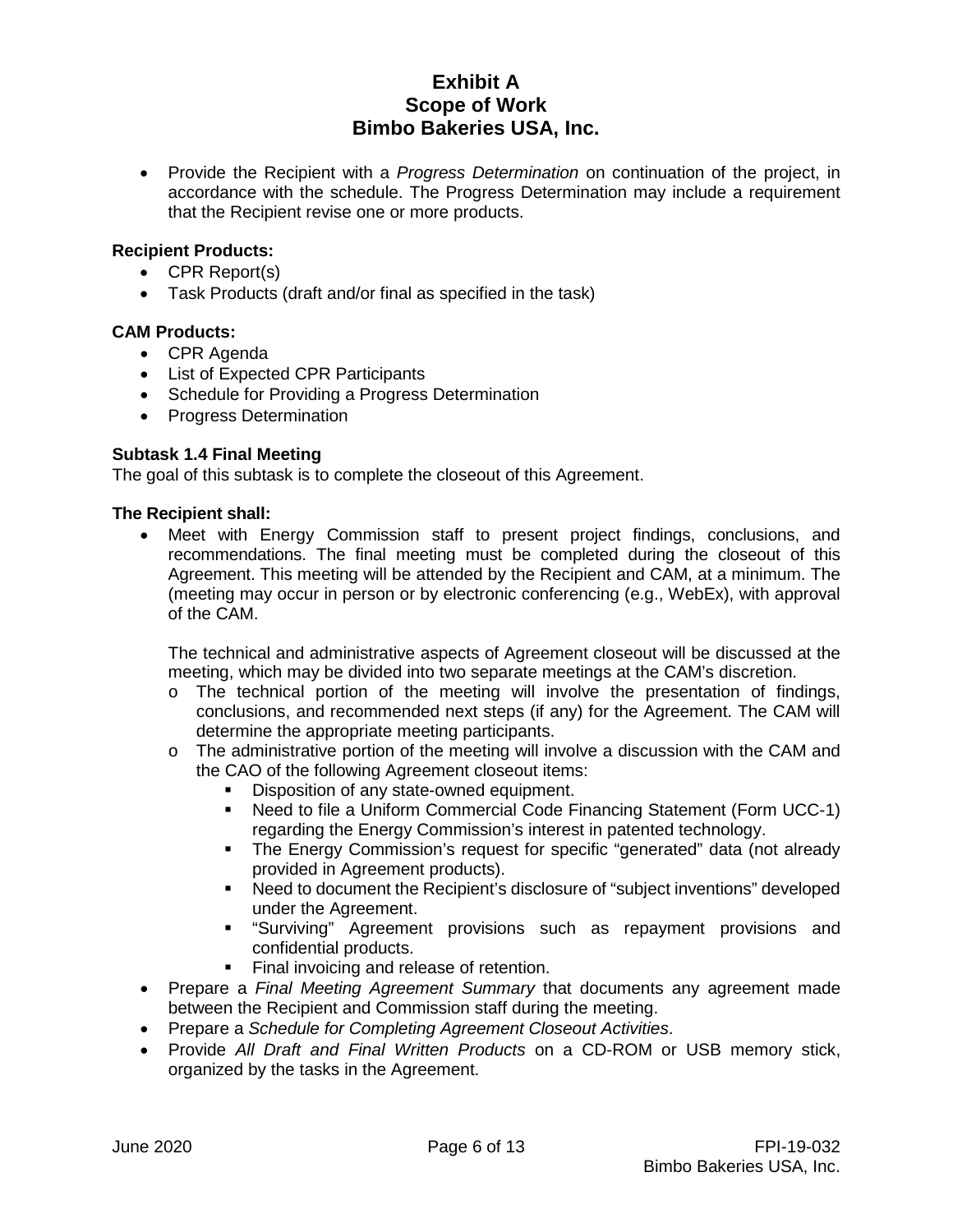• Provide the Recipient with a *Progress Determination* on continuation of the project, in accordance with the schedule. The Progress Determination may include a requirement that the Recipient revise one or more products.

# **Recipient Products:**

- CPR Report(s)
- Task Products (draft and/or final as specified in the task)

### **CAM Products:**

- CPR Agenda
- List of Expected CPR Participants
- Schedule for Providing a Progress Determination
- Progress Determination

# **Subtask 1.4 Final Meeting**

The goal of this subtask is to complete the closeout of this Agreement.

#### **The Recipient shall:**

• Meet with Energy Commission staff to present project findings, conclusions, and recommendations. The final meeting must be completed during the closeout of this Agreement. This meeting will be attended by the Recipient and CAM, at a minimum. The (meeting may occur in person or by electronic conferencing (e.g., WebEx), with approval of the CAM.

The technical and administrative aspects of Agreement closeout will be discussed at the meeting, which may be divided into two separate meetings at the CAM's discretion.

- o The technical portion of the meeting will involve the presentation of findings, conclusions, and recommended next steps (if any) for the Agreement. The CAM will determine the appropriate meeting participants.
- $\circ$  The administrative portion of the meeting will involve a discussion with the CAM and the CAO of the following Agreement closeout items:
	- Disposition of any state-owned equipment.
	- Need to file a Uniform Commercial Code Financing Statement (Form UCC-1) regarding the Energy Commission's interest in patented technology.
	- The Energy Commission's request for specific "generated" data (not already provided in Agreement products).
	- Need to document the Recipient's disclosure of "subject inventions" developed under the Agreement.
	- "Surviving" Agreement provisions such as repayment provisions and confidential products.
	- Final invoicing and release of retention.
- Prepare a *Final Meeting Agreement Summary* that documents any agreement made between the Recipient and Commission staff during the meeting.
- Prepare a *Schedule for Completing Agreement Closeout Activities*.
- Provide *All Draft and Final Written Products* on a CD-ROM or USB memory stick, organized by the tasks in the Agreement.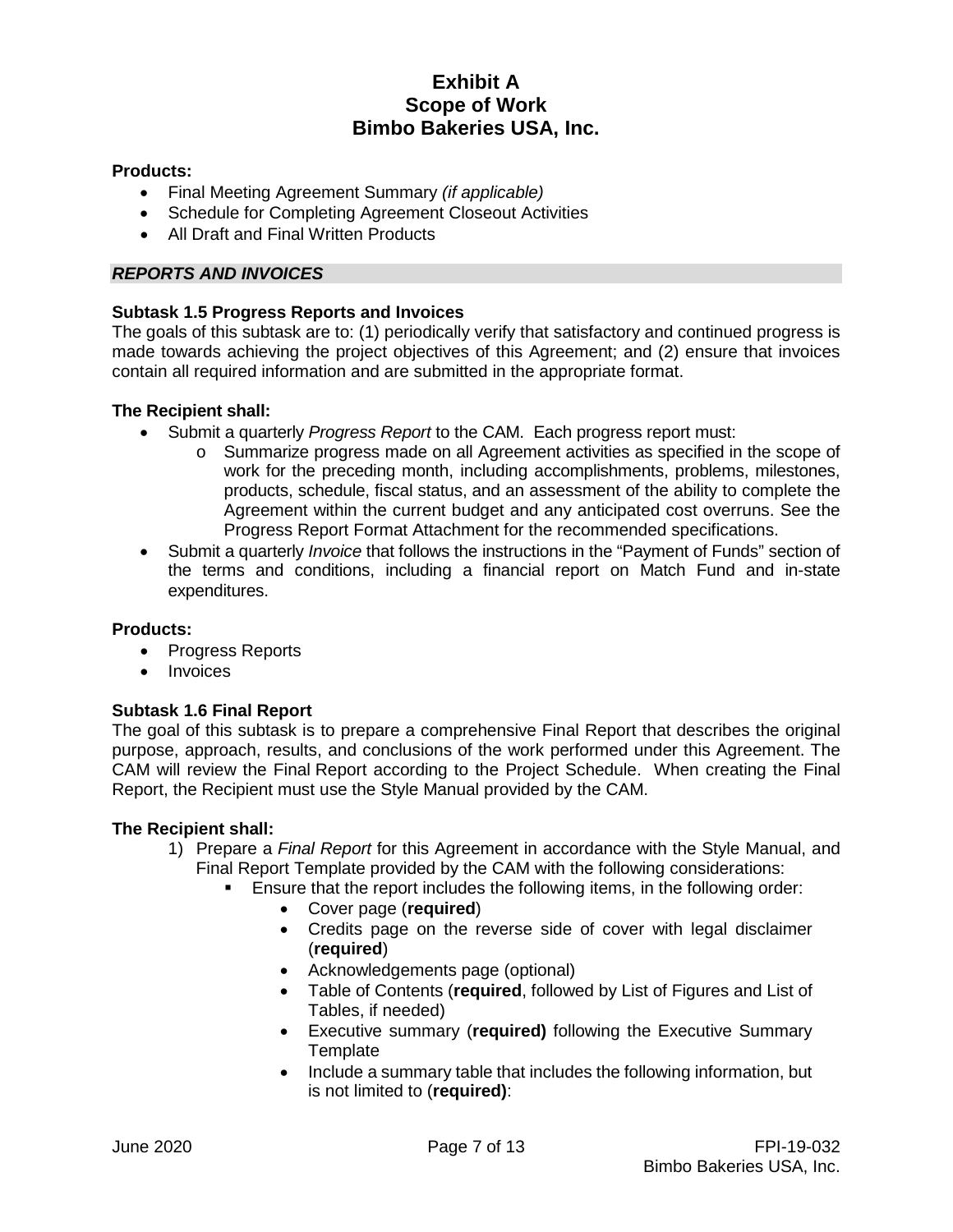# **Products:**

- Final Meeting Agreement Summary *(if applicable)*
- Schedule for Completing Agreement Closeout Activities
- All Draft and Final Written Products

### *REPORTS AND INVOICES*

### **Subtask 1.5 Progress Reports and Invoices**

The goals of this subtask are to: (1) periodically verify that satisfactory and continued progress is made towards achieving the project objectives of this Agreement; and (2) ensure that invoices contain all required information and are submitted in the appropriate format.

#### **The Recipient shall:**

- Submit a quarterly *Progress Report* to the CAM. Each progress report must:
	- o Summarize progress made on all Agreement activities as specified in the scope of work for the preceding month, including accomplishments, problems, milestones, products, schedule, fiscal status, and an assessment of the ability to complete the Agreement within the current budget and any anticipated cost overruns. See the Progress Report Format Attachment for the recommended specifications.
- Submit a quarterly *Invoice* that follows the instructions in the "Payment of Funds" section of the terms and conditions, including a financial report on Match Fund and in-state expenditures.

### **Products:**

- Progress Reports
- Invoices

### **Subtask 1.6 Final Report**

The goal of this subtask is to prepare a comprehensive Final Report that describes the original purpose, approach, results, and conclusions of the work performed under this Agreement. The CAM will review the Final Report according to the Project Schedule. When creating the Final Report, the Recipient must use the Style Manual provided by the CAM.

- 1) Prepare a *Final Report* for this Agreement in accordance with the Style Manual, and Final Report Template provided by the CAM with the following considerations:
	- Ensure that the report includes the following items, in the following order:
		- Cover page (**required**)
		- Credits page on the reverse side of cover with legal disclaimer (**required**)
		- Acknowledgements page (optional)
		- Table of Contents (**required**, followed by List of Figures and List of Tables, if needed)
		- Executive summary (**required)** following the Executive Summary **Template**
		- Include a summary table that includes the following information, but is not limited to (**required)**: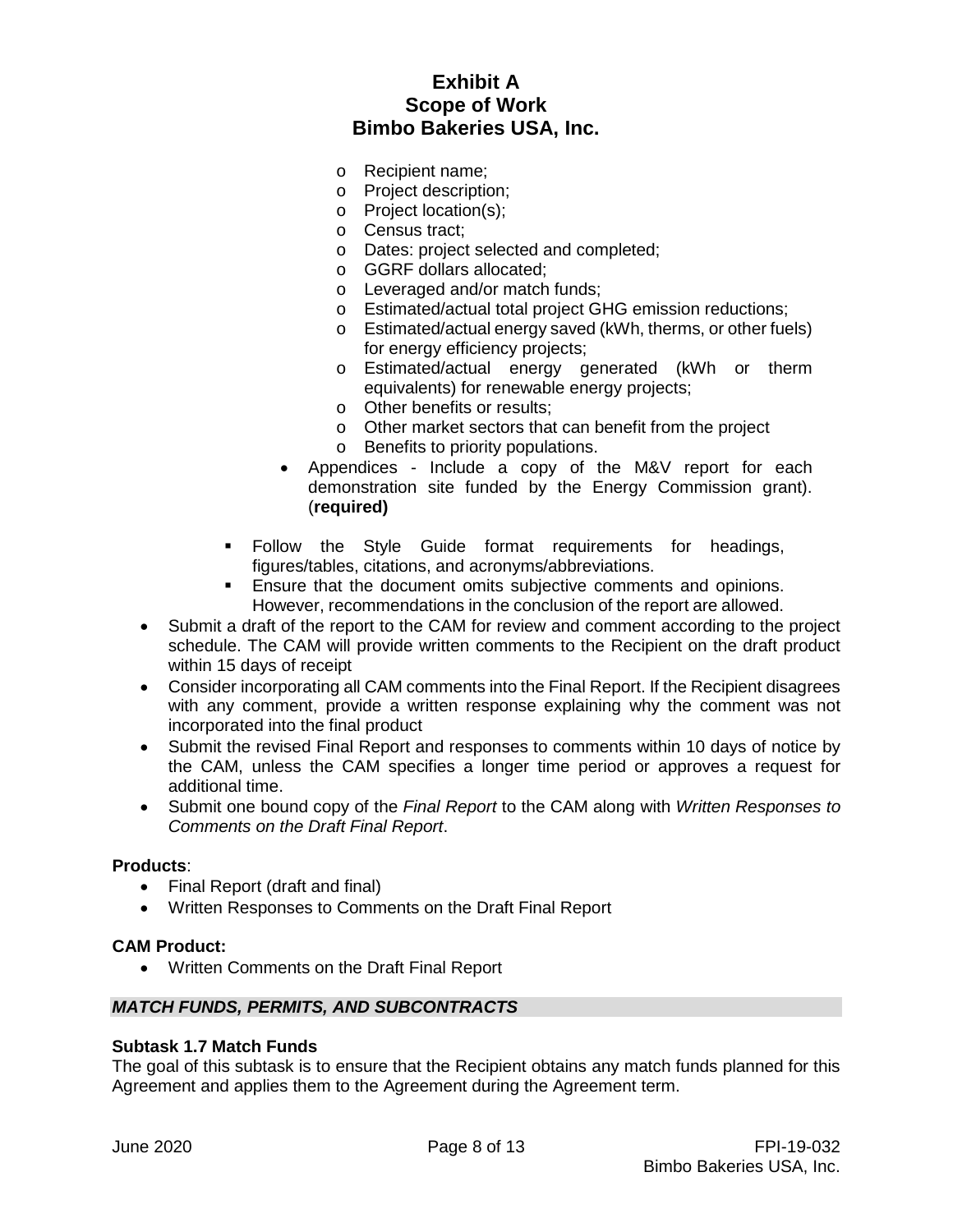- o Recipient name;
- o Project description;
- o Project location(s);
- o Census tract;
- o Dates: project selected and completed;
- o GGRF dollars allocated;
- o Leveraged and/or match funds;
- o Estimated/actual total project GHG emission reductions;
- o Estimated/actual energy saved (kWh, therms, or other fuels) for energy efficiency projects;
- o Estimated/actual energy generated (kWh or therm equivalents) for renewable energy projects;
- o Other benefits or results;
- o Other market sectors that can benefit from the project
- o Benefits to priority populations.
- Appendices Include a copy of the M&V report for each demonstration site funded by the Energy Commission grant). (**required)**
- Follow the Style Guide format requirements for headings, figures/tables, citations, and acronyms/abbreviations.
- **Ensure that the document omits subjective comments and opinions.** However, recommendations in the conclusion of the report are allowed.
- Submit a draft of the report to the CAM for review and comment according to the project schedule. The CAM will provide written comments to the Recipient on the draft product within 15 days of receipt
- Consider incorporating all CAM comments into the Final Report. If the Recipient disagrees with any comment, provide a written response explaining why the comment was not incorporated into the final product
- Submit the revised Final Report and responses to comments within 10 days of notice by the CAM, unless the CAM specifies a longer time period or approves a request for additional time.
- Submit one bound copy of the *Final Report* to the CAM along with *Written Responses to Comments on the Draft Final Report*.

#### **Products**:

- Final Report (draft and final)
- Written Responses to Comments on the Draft Final Report

#### **CAM Product:**

• Written Comments on the Draft Final Report

#### *MATCH FUNDS, PERMITS, AND SUBCONTRACTS*

#### **Subtask 1.7 Match Funds**

The goal of this subtask is to ensure that the Recipient obtains any match funds planned for this Agreement and applies them to the Agreement during the Agreement term.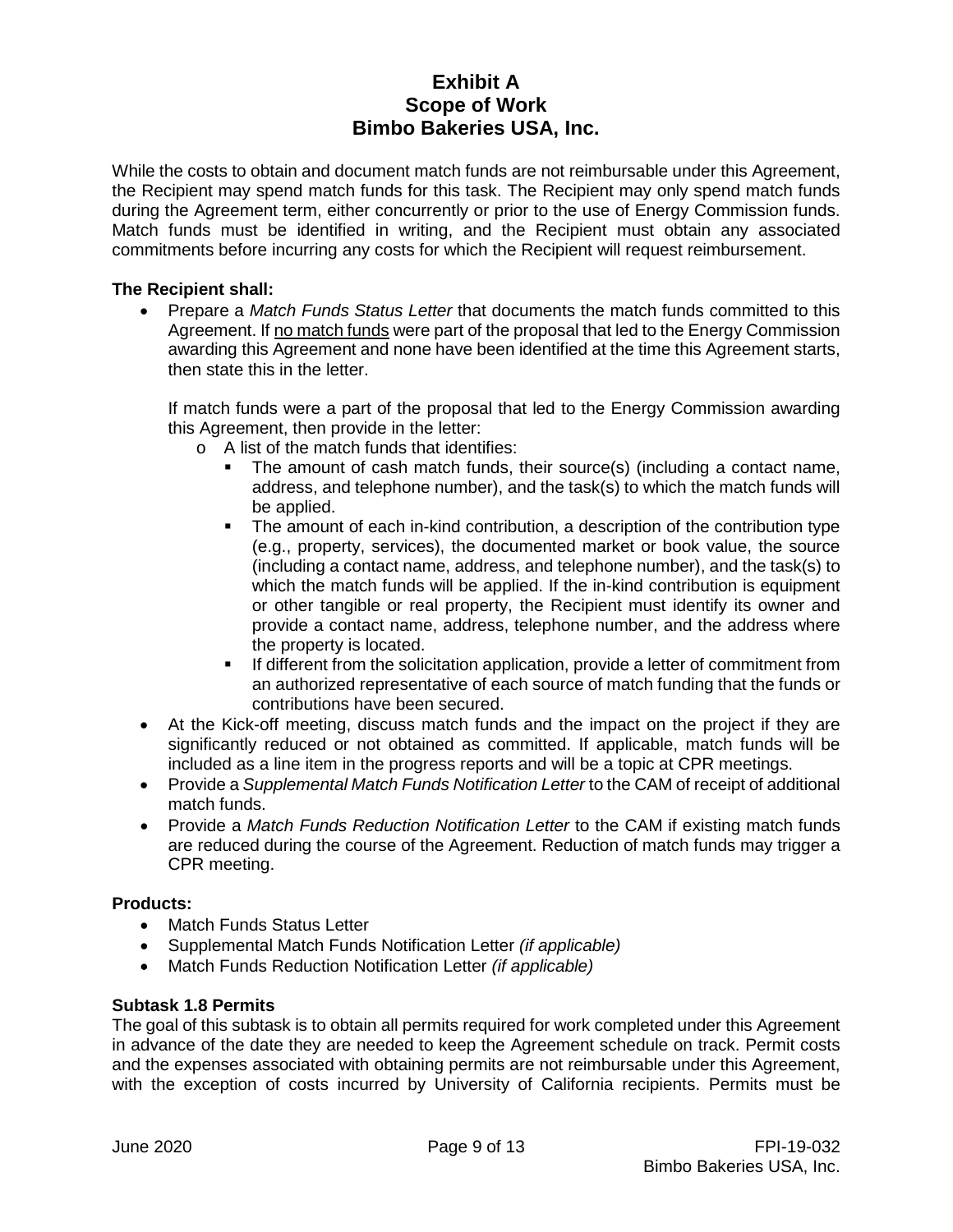While the costs to obtain and document match funds are not reimbursable under this Agreement, the Recipient may spend match funds for this task. The Recipient may only spend match funds during the Agreement term, either concurrently or prior to the use of Energy Commission funds. Match funds must be identified in writing, and the Recipient must obtain any associated commitments before incurring any costs for which the Recipient will request reimbursement.

### **The Recipient shall:**

• Prepare a *Match Funds Status Letter* that documents the match funds committed to this Agreement. If no match funds were part of the proposal that led to the Energy Commission awarding this Agreement and none have been identified at the time this Agreement starts, then state this in the letter.

If match funds were a part of the proposal that led to the Energy Commission awarding this Agreement, then provide in the letter:

- o A list of the match funds that identifies:
	- The amount of cash match funds, their source(s) (including a contact name, address, and telephone number), and the task(s) to which the match funds will be applied.
	- The amount of each in-kind contribution, a description of the contribution type (e.g., property, services), the documented market or book value, the source (including a contact name, address, and telephone number), and the task(s) to which the match funds will be applied. If the in-kind contribution is equipment or other tangible or real property, the Recipient must identify its owner and provide a contact name, address, telephone number, and the address where the property is located.
	- If different from the solicitation application, provide a letter of commitment from an authorized representative of each source of match funding that the funds or contributions have been secured.
- At the Kick-off meeting, discuss match funds and the impact on the project if they are significantly reduced or not obtained as committed. If applicable, match funds will be included as a line item in the progress reports and will be a topic at CPR meetings.
- Provide a *Supplemental Match Funds Notification Letter* to the CAM of receipt of additional match funds.
- Provide a *Match Funds Reduction Notification Letter* to the CAM if existing match funds are reduced during the course of the Agreement. Reduction of match funds may trigger a CPR meeting.

### **Products:**

- Match Funds Status Letter
- Supplemental Match Funds Notification Letter *(if applicable)*
- Match Funds Reduction Notification Letter *(if applicable)*

### **Subtask 1.8 Permits**

The goal of this subtask is to obtain all permits required for work completed under this Agreement in advance of the date they are needed to keep the Agreement schedule on track. Permit costs and the expenses associated with obtaining permits are not reimbursable under this Agreement, with the exception of costs incurred by University of California recipients. Permits must be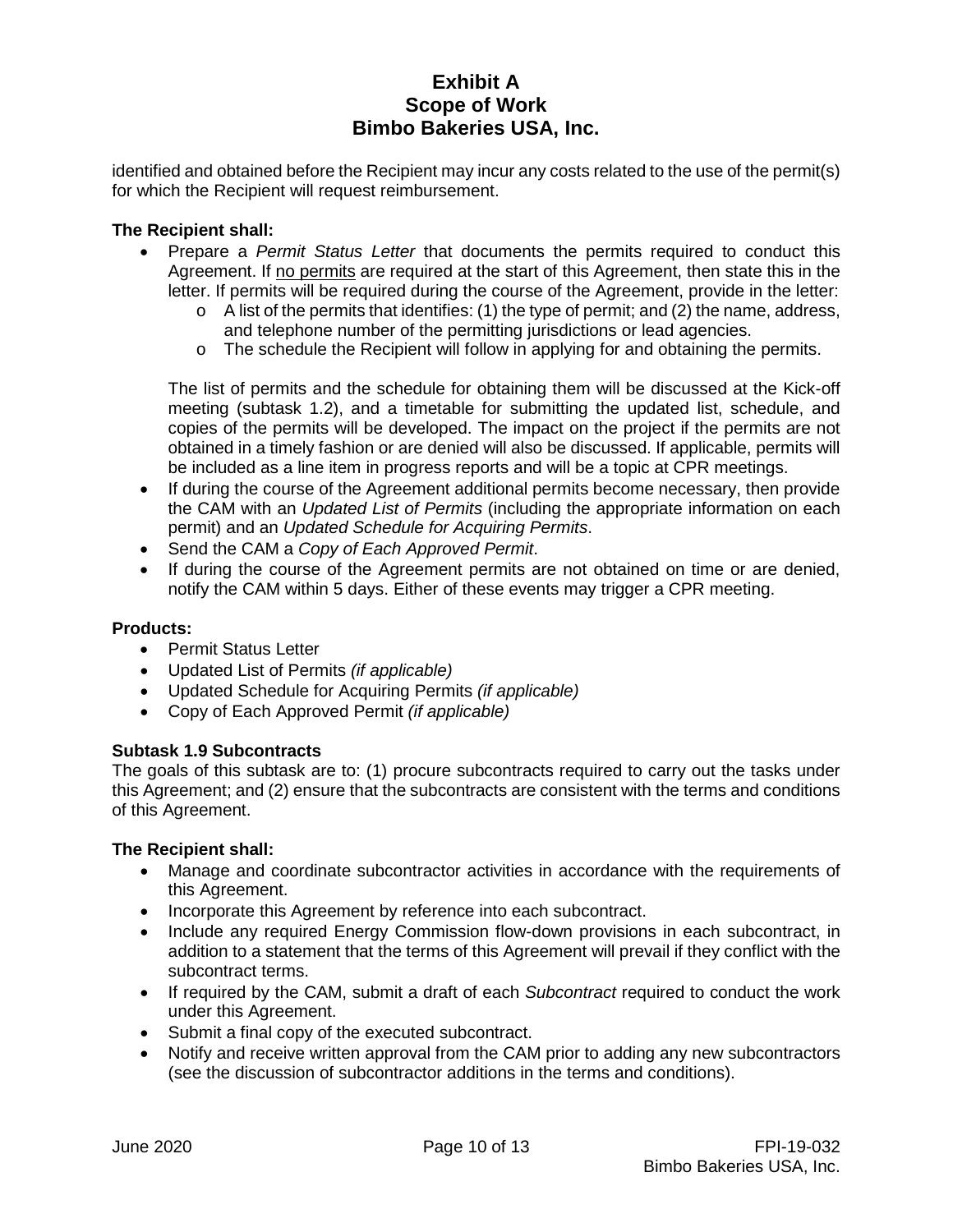identified and obtained before the Recipient may incur any costs related to the use of the permit(s) for which the Recipient will request reimbursement.

### **The Recipient shall:**

- Prepare a *Permit Status Letter* that documents the permits required to conduct this Agreement. If no permits are required at the start of this Agreement, then state this in the letter. If permits will be required during the course of the Agreement, provide in the letter:
	- $\circ$  A list of the permits that identifies: (1) the type of permit; and (2) the name, address, and telephone number of the permitting jurisdictions or lead agencies.
	- $\circ$  The schedule the Recipient will follow in applying for and obtaining the permits.

The list of permits and the schedule for obtaining them will be discussed at the Kick-off meeting (subtask 1.2), and a timetable for submitting the updated list, schedule, and copies of the permits will be developed. The impact on the project if the permits are not obtained in a timely fashion or are denied will also be discussed. If applicable, permits will be included as a line item in progress reports and will be a topic at CPR meetings.

- If during the course of the Agreement additional permits become necessary, then provide the CAM with an *Updated List of Permits* (including the appropriate information on each permit) and an *Updated Schedule for Acquiring Permits*.
- Send the CAM a *Copy of Each Approved Permit*.
- If during the course of the Agreement permits are not obtained on time or are denied, notify the CAM within 5 days. Either of these events may trigger a CPR meeting.

### **Products:**

- Permit Status Letter
- Updated List of Permits *(if applicable)*
- Updated Schedule for Acquiring Permits *(if applicable)*
- Copy of Each Approved Permit *(if applicable)*

### **Subtask 1.9 Subcontracts**

The goals of this subtask are to: (1) procure subcontracts required to carry out the tasks under this Agreement; and (2) ensure that the subcontracts are consistent with the terms and conditions of this Agreement.

- Manage and coordinate subcontractor activities in accordance with the requirements of this Agreement.
- Incorporate this Agreement by reference into each subcontract.
- Include any required Energy Commission flow-down provisions in each subcontract, in addition to a statement that the terms of this Agreement will prevail if they conflict with the subcontract terms.
- If required by the CAM, submit a draft of each *Subcontract* required to conduct the work under this Agreement.
- Submit a final copy of the executed subcontract.
- Notify and receive written approval from the CAM prior to adding any new subcontractors (see the discussion of subcontractor additions in the terms and conditions).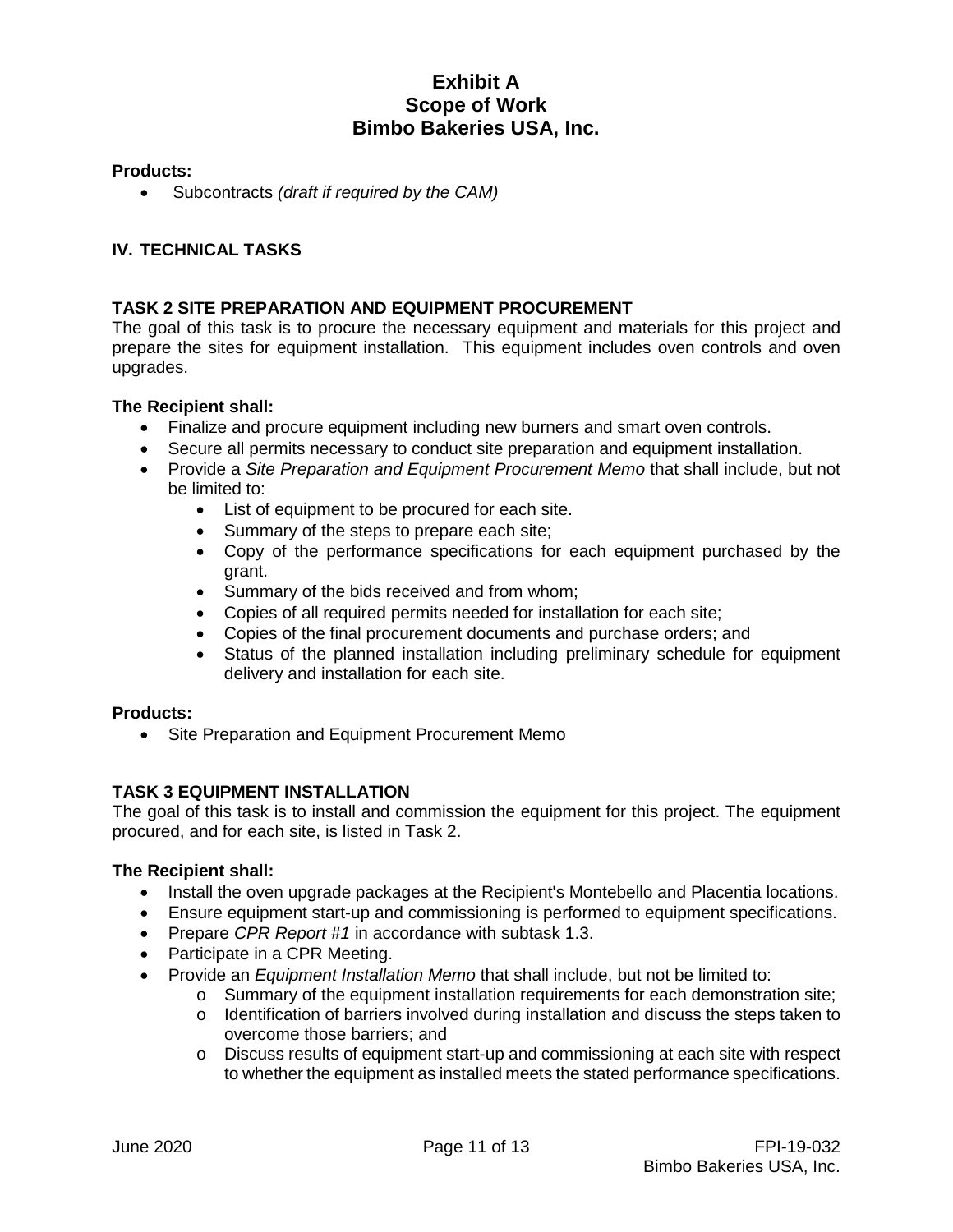### **Products:**

• Subcontracts *(draft if required by the CAM)*

# **IV. TECHNICAL TASKS**

### **TASK 2 SITE PREPARATION AND EQUIPMENT PROCUREMENT**

The goal of this task is to procure the necessary equipment and materials for this project and prepare the sites for equipment installation. This equipment includes oven controls and oven upgrades.

#### **The Recipient shall:**

- Finalize and procure equipment including new burners and smart oven controls.
- Secure all permits necessary to conduct site preparation and equipment installation.
- Provide a *Site Preparation and Equipment Procurement Memo* that shall include, but not be limited to:
	- List of equipment to be procured for each site.
	- Summary of the steps to prepare each site;
	- Copy of the performance specifications for each equipment purchased by the grant.
	- Summary of the bids received and from whom;
	- Copies of all required permits needed for installation for each site;
	- Copies of the final procurement documents and purchase orders; and
	- Status of the planned installation including preliminary schedule for equipment delivery and installation for each site.

### **Products:**

• Site Preparation and Equipment Procurement Memo

### **TASK 3 EQUIPMENT INSTALLATION**

The goal of this task is to install and commission the equipment for this project. The equipment procured, and for each site, is listed in Task 2.

- Install the oven upgrade packages at the Recipient's Montebello and Placentia locations.
- Ensure equipment start-up and commissioning is performed to equipment specifications.
- Prepare *CPR Report #1* in accordance with subtask 1.3.
- Participate in a CPR Meeting.
- Provide an *Equipment Installation Memo* that shall include, but not be limited to:
	- o Summary of the equipment installation requirements for each demonstration site;
	- o Identification of barriers involved during installation and discuss the steps taken to overcome those barriers; and
	- $\circ$  Discuss results of equipment start-up and commissioning at each site with respect to whether the equipment as installed meets the stated performance specifications.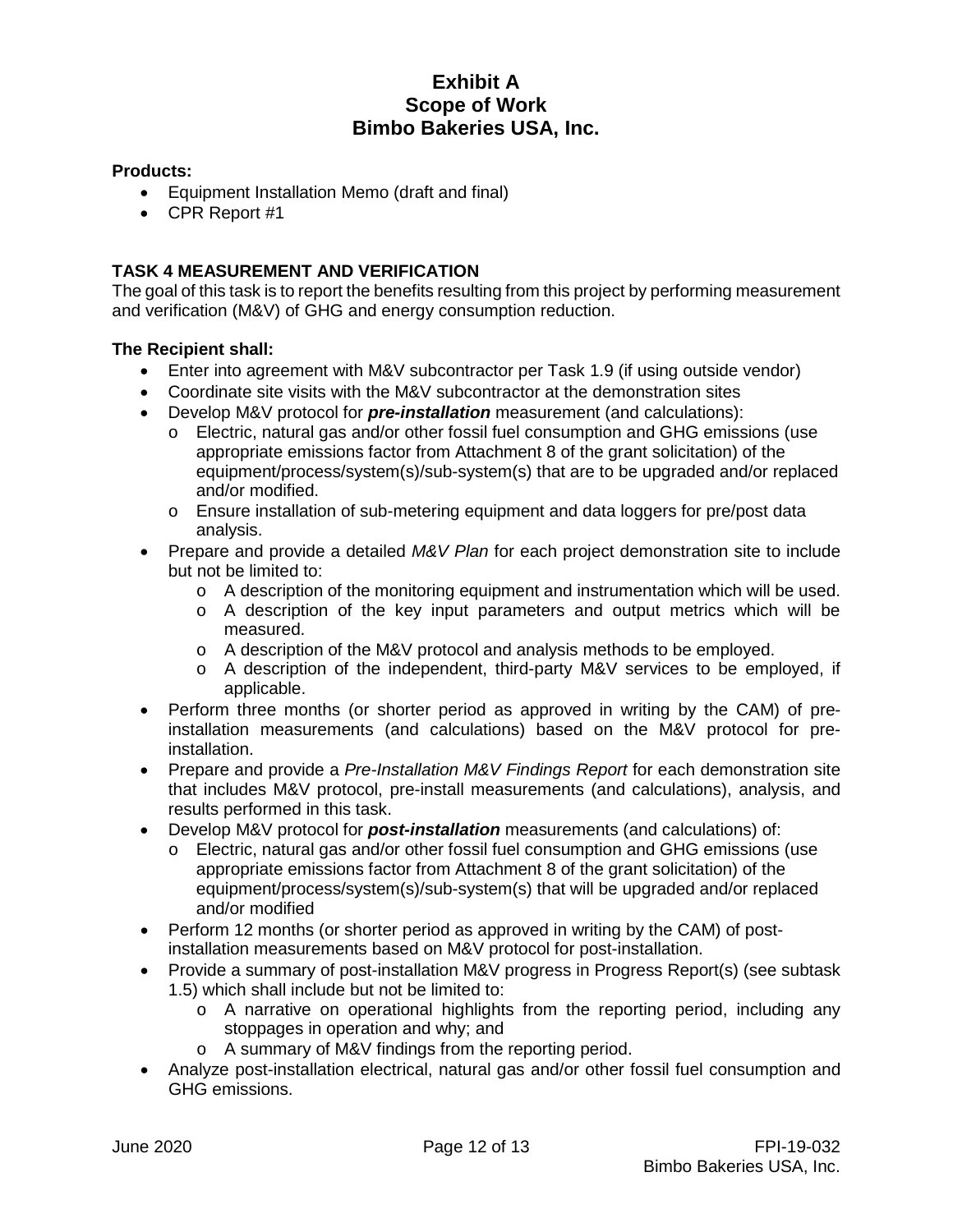# **Products:**

- Equipment Installation Memo (draft and final)
- CPR Report #1

# **TASK 4 MEASUREMENT AND VERIFICATION**

The goal of this task is to report the benefits resulting from this project by performing measurement and verification (M&V) of GHG and energy consumption reduction.

- Enter into agreement with M&V subcontractor per Task 1.9 (if using outside vendor)
- Coordinate site visits with the M&V subcontractor at the demonstration sites
- Develop M&V protocol for *pre-installation* measurement (and calculations):
	- o Electric, natural gas and/or other fossil fuel consumption and GHG emissions (use appropriate emissions factor from Attachment 8 of the grant solicitation) of the equipment/process/system(s)/sub-system(s) that are to be upgraded and/or replaced and/or modified.
	- o Ensure installation of sub-metering equipment and data loggers for pre/post data analysis.
- Prepare and provide a detailed *M&V Plan* for each project demonstration site to include but not be limited to:
	- $\circ$  A description of the monitoring equipment and instrumentation which will be used.
	- o A description of the key input parameters and output metrics which will be measured.
	- o A description of the M&V protocol and analysis methods to be employed.
	- o A description of the independent, third-party M&V services to be employed, if applicable.
- Perform three months (or shorter period as approved in writing by the CAM) of preinstallation measurements (and calculations) based on the M&V protocol for preinstallation.
- Prepare and provide a *Pre-Installation M&V Findings Report* for each demonstration site that includes M&V protocol, pre-install measurements (and calculations), analysis, and results performed in this task.
- Develop M&V protocol for *post-installation* measurements (and calculations) of:
	- Electric, natural gas and/or other fossil fuel consumption and GHG emissions (use appropriate emissions factor from Attachment 8 of the grant solicitation) of the equipment/process/system(s)/sub-system(s) that will be upgraded and/or replaced and/or modified
- Perform 12 months (or shorter period as approved in writing by the CAM) of postinstallation measurements based on M&V protocol for post-installation.
- Provide a summary of post-installation M&V progress in Progress Report(s) (see subtask 1.5) which shall include but not be limited to:
	- o A narrative on operational highlights from the reporting period, including any stoppages in operation and why; and
	- o A summary of M&V findings from the reporting period.
- Analyze post-installation electrical, natural gas and/or other fossil fuel consumption and GHG emissions.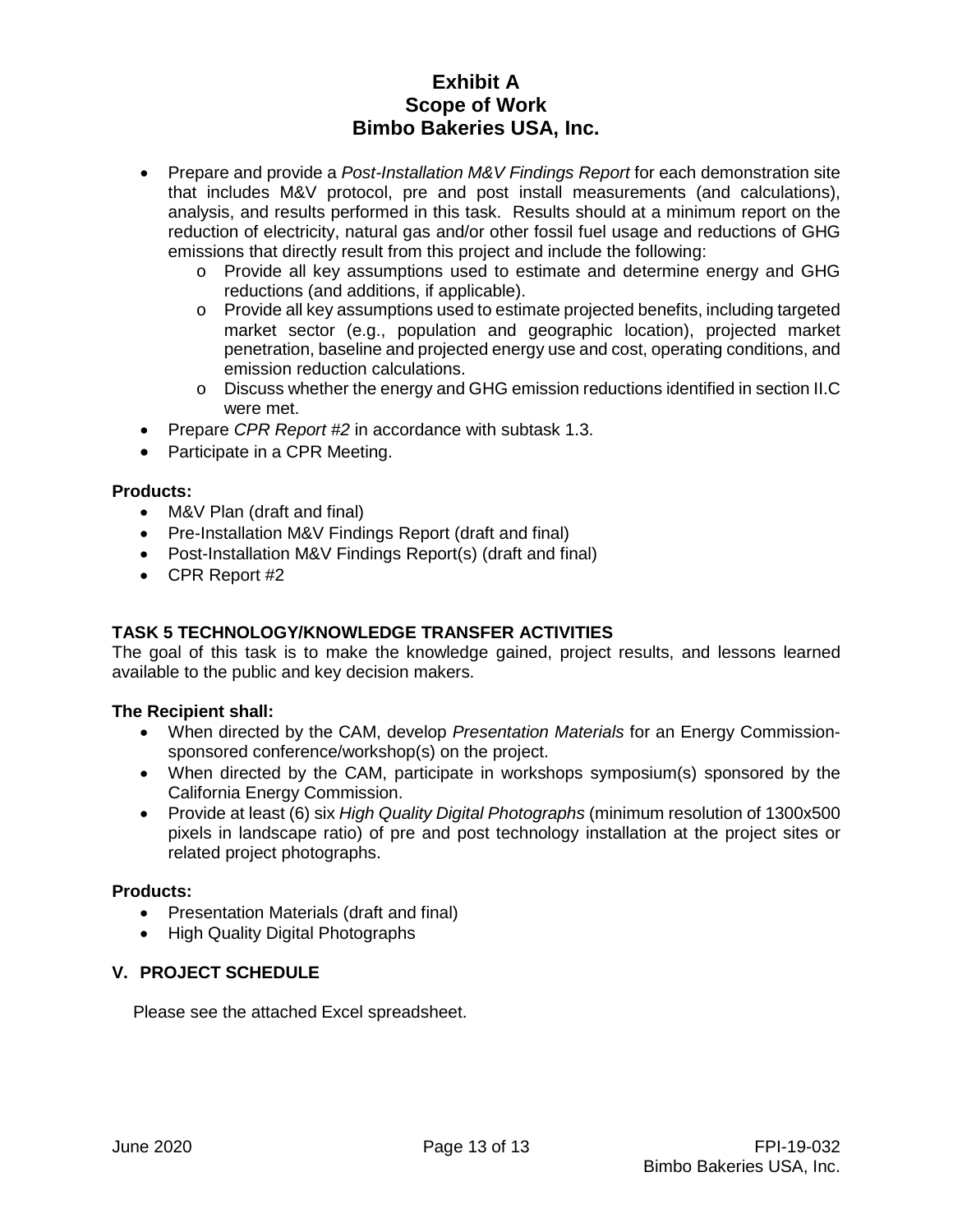- Prepare and provide a *Post-Installation M&V Findings Report* for each demonstration site that includes M&V protocol, pre and post install measurements (and calculations), analysis, and results performed in this task. Results should at a minimum report on the reduction of electricity, natural gas and/or other fossil fuel usage and reductions of GHG emissions that directly result from this project and include the following:
	- o Provide all key assumptions used to estimate and determine energy and GHG reductions (and additions, if applicable).
	- o Provide all key assumptions used to estimate projected benefits, including targeted market sector (e.g., population and geographic location), projected market penetration, baseline and projected energy use and cost, operating conditions, and emission reduction calculations.
	- $\circ$  Discuss whether the energy and GHG emission reductions identified in section II.C were met.
- Prepare *CPR Report #2* in accordance with subtask 1.3.
- Participate in a CPR Meeting.

# **Products:**

- M&V Plan (draft and final)
- Pre-Installation M&V Findings Report (draft and final)
- Post-Installation M&V Findings Report(s) (draft and final)
- CPR Report #2

### **TASK 5 TECHNOLOGY/KNOWLEDGE TRANSFER ACTIVITIES**

The goal of this task is to make the knowledge gained, project results, and lessons learned available to the public and key decision makers.

### **The Recipient shall:**

- When directed by the CAM, develop *Presentation Materials* for an Energy Commissionsponsored conference/workshop(s) on the project.
- When directed by the CAM, participate in workshops symposium(s) sponsored by the California Energy Commission.
- Provide at least (6) six *High Quality Digital Photographs* (minimum resolution of 1300x500 pixels in landscape ratio) of pre and post technology installation at the project sites or related project photographs.

### **Products:**

- Presentation Materials (draft and final)
- High Quality Digital Photographs

### **V. PROJECT SCHEDULE**

Please see the attached Excel spreadsheet.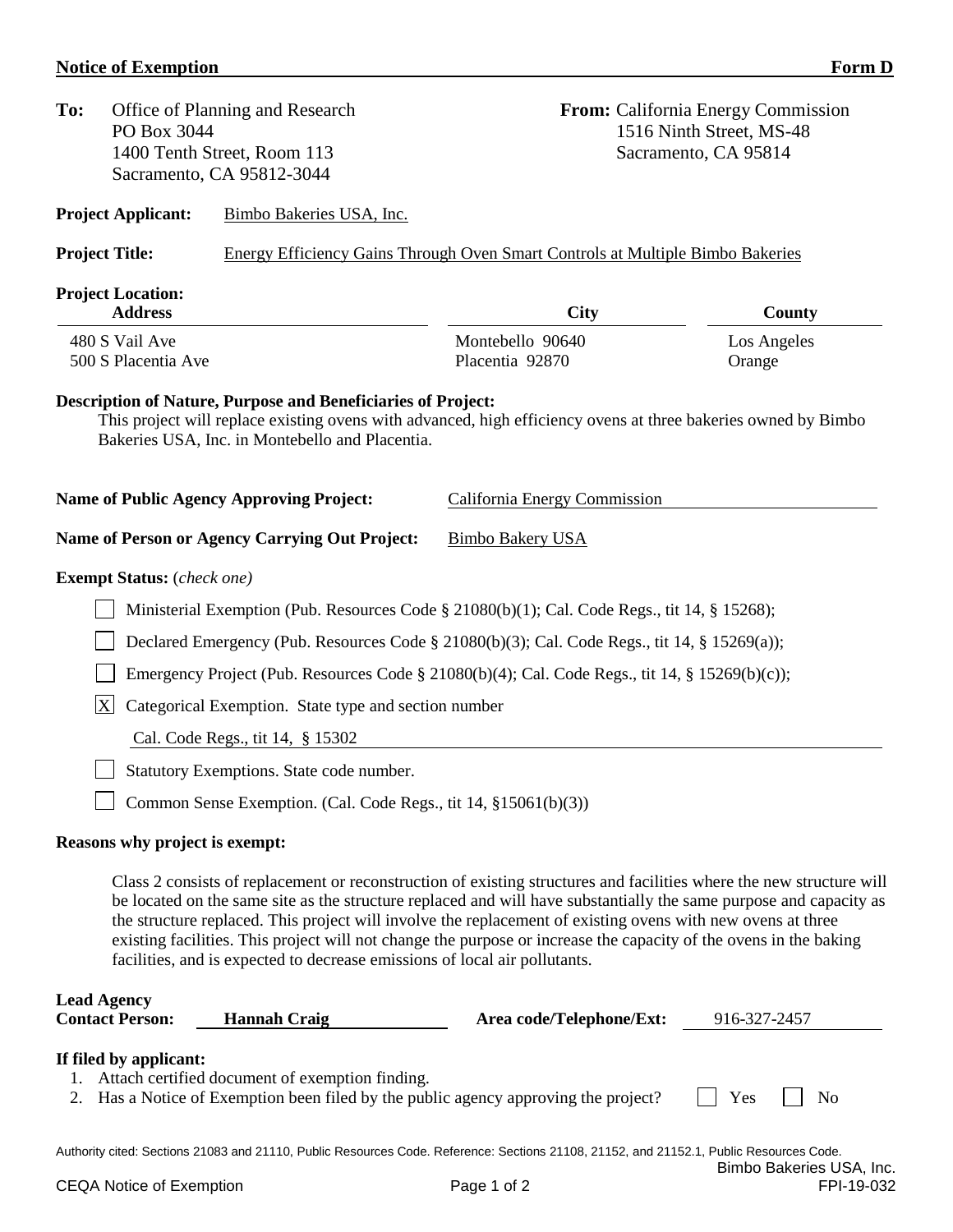# **Notice of Exemption** Form D

| To: | PO Box 3044                                  | Office of Planning and Research<br>1400 Tenth Street, Room 113<br>Sacramento, CA 95812-3044                            |                                                                                                                                                                                                                                                                                                                                                                                                                                                                                | <b>From:</b> California Energy Commission<br>1516 Ninth Street, MS-48<br>Sacramento, CA 95814 |
|-----|----------------------------------------------|------------------------------------------------------------------------------------------------------------------------|--------------------------------------------------------------------------------------------------------------------------------------------------------------------------------------------------------------------------------------------------------------------------------------------------------------------------------------------------------------------------------------------------------------------------------------------------------------------------------|-----------------------------------------------------------------------------------------------|
|     | <b>Project Applicant:</b>                    | Bimbo Bakeries USA, Inc.                                                                                               |                                                                                                                                                                                                                                                                                                                                                                                                                                                                                |                                                                                               |
|     | <b>Project Title:</b>                        |                                                                                                                        | <b>Energy Efficiency Gains Through Oven Smart Controls at Multiple Bimbo Bakeries</b>                                                                                                                                                                                                                                                                                                                                                                                          |                                                                                               |
|     | <b>Project Location:</b><br><b>Address</b>   |                                                                                                                        | <b>City</b>                                                                                                                                                                                                                                                                                                                                                                                                                                                                    | County                                                                                        |
|     | 480 S Vail Ave<br>500 S Placentia Ave        |                                                                                                                        | Montebello 90640<br>Placentia 92870                                                                                                                                                                                                                                                                                                                                                                                                                                            | Los Angeles<br>Orange                                                                         |
|     |                                              | <b>Description of Nature, Purpose and Beneficiaries of Project:</b><br>Bakeries USA, Inc. in Montebello and Placentia. | This project will replace existing ovens with advanced, high efficiency ovens at three bakeries owned by Bimbo                                                                                                                                                                                                                                                                                                                                                                 |                                                                                               |
|     |                                              | <b>Name of Public Agency Approving Project:</b>                                                                        | California Energy Commission                                                                                                                                                                                                                                                                                                                                                                                                                                                   |                                                                                               |
|     |                                              | Name of Person or Agency Carrying Out Project:                                                                         | <b>Bimbo Bakery USA</b>                                                                                                                                                                                                                                                                                                                                                                                                                                                        |                                                                                               |
|     | <b>Exempt Status:</b> (check one)            |                                                                                                                        |                                                                                                                                                                                                                                                                                                                                                                                                                                                                                |                                                                                               |
|     |                                              |                                                                                                                        | Ministerial Exemption (Pub. Resources Code § 21080(b)(1); Cal. Code Regs., tit 14, § 15268);                                                                                                                                                                                                                                                                                                                                                                                   |                                                                                               |
|     |                                              |                                                                                                                        | Declared Emergency (Pub. Resources Code § 21080(b)(3); Cal. Code Regs., tit 14, § 15269(a));                                                                                                                                                                                                                                                                                                                                                                                   |                                                                                               |
|     |                                              |                                                                                                                        | Emergency Project (Pub. Resources Code § 21080(b)(4); Cal. Code Regs., tit 14, § 15269(b)(c));                                                                                                                                                                                                                                                                                                                                                                                 |                                                                                               |
|     | $\overline{X}$                               | Categorical Exemption. State type and section number                                                                   |                                                                                                                                                                                                                                                                                                                                                                                                                                                                                |                                                                                               |
|     |                                              | Cal. Code Regs., tit 14, § 15302                                                                                       |                                                                                                                                                                                                                                                                                                                                                                                                                                                                                |                                                                                               |
|     |                                              | Statutory Exemptions. State code number.                                                                               |                                                                                                                                                                                                                                                                                                                                                                                                                                                                                |                                                                                               |
|     |                                              | Common Sense Exemption. (Cal. Code Regs., tit 14, §15061(b)(3))                                                        |                                                                                                                                                                                                                                                                                                                                                                                                                                                                                |                                                                                               |
|     | Reasons why project is exempt:               |                                                                                                                        |                                                                                                                                                                                                                                                                                                                                                                                                                                                                                |                                                                                               |
|     |                                              | facilities, and is expected to decrease emissions of local air pollutants.                                             | Class 2 consists of replacement or reconstruction of existing structures and facilities where the new structure will<br>be located on the same site as the structure replaced and will have substantially the same purpose and capacity as<br>the structure replaced. This project will involve the replacement of existing ovens with new ovens at three<br>existing facilities. This project will not change the purpose or increase the capacity of the ovens in the baking |                                                                                               |
|     | <b>Lead Agency</b><br><b>Contact Person:</b> | <b>Hannah Craig</b>                                                                                                    | Area code/Telephone/Ext:                                                                                                                                                                                                                                                                                                                                                                                                                                                       | 916-327-2457                                                                                  |
| 2.  | If filed by applicant:                       | Attach certified document of exemption finding.                                                                        | Has a Notice of Exemption been filed by the public agency approving the project?                                                                                                                                                                                                                                                                                                                                                                                               | Yes<br>N <sub>0</sub>                                                                         |
|     |                                              |                                                                                                                        | Authority cited: Sections 21083 and 21110, Public Resources Code. Reference: Sections 21108, 21152, and 21152.1, Public Resources Code.                                                                                                                                                                                                                                                                                                                                        |                                                                                               |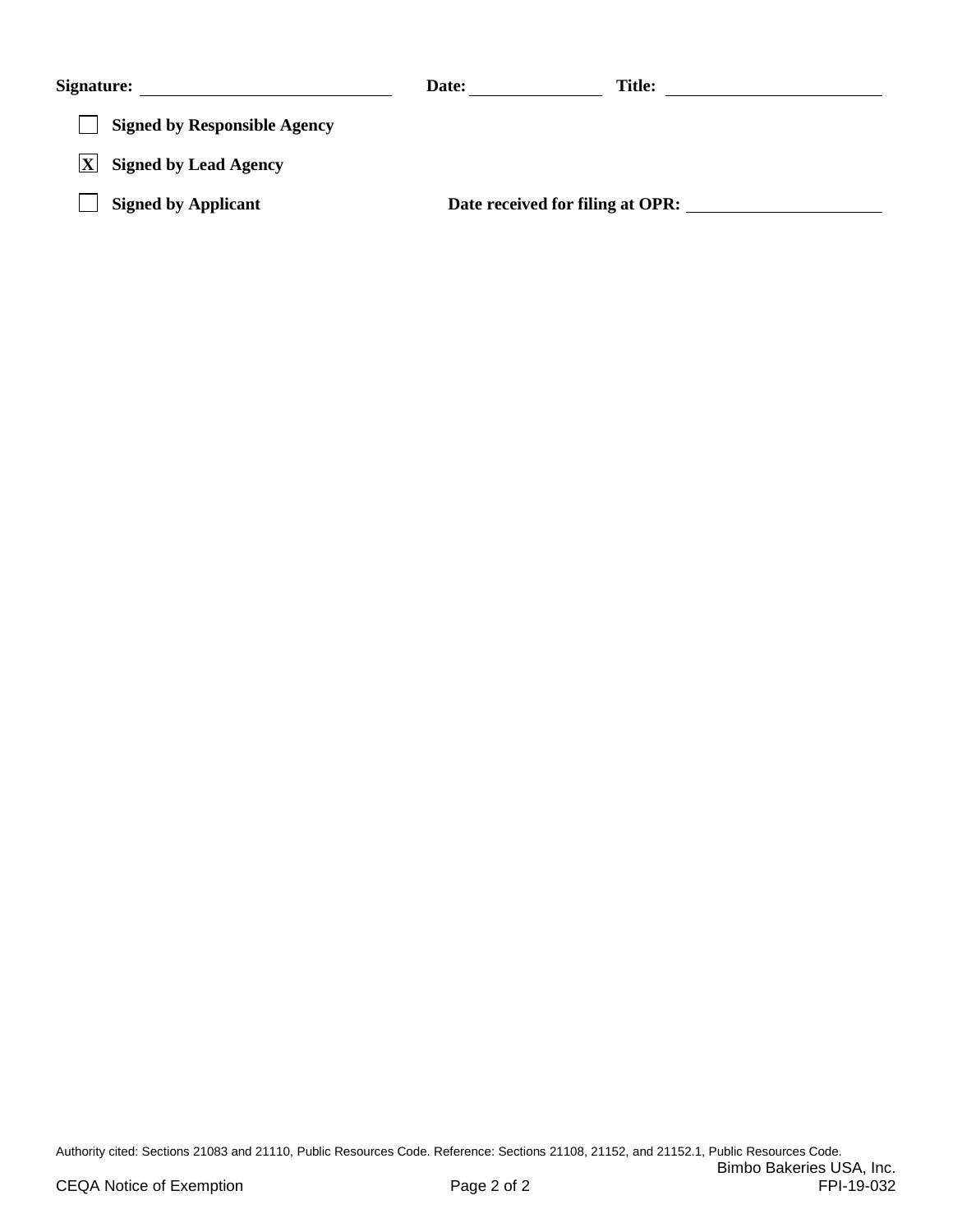| <b>Signature:</b>                   | Date:                            | <b>Title:</b> |
|-------------------------------------|----------------------------------|---------------|
| <b>Signed by Responsible Agency</b> |                                  |               |
| <b>Signed by Lead Agency</b>        |                                  |               |
| <b>Signed by Applicant</b>          | Date received for filing at OPR: |               |